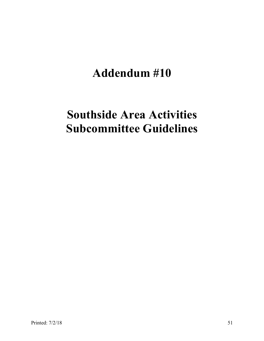# **Addendum #10**

# **Southside Area Activities Subcommittee Guidelines**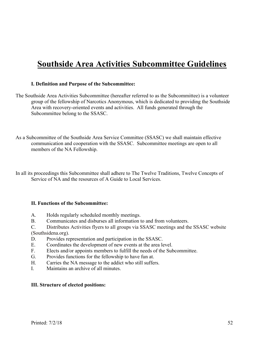# **Southside Area Activities Subcommittee Guidelines**

#### **I. Definition and Purpose of the Subcommittee:**

- The Southside Area Activities Subcommittee (hereafter referred to as the Subcommittee) is a volunteer group of the fellowship of Narcotics Anonymous, which is dedicated to providing the Southside Area with recovery-oriented events and activities. All funds generated through the Subcommittee belong to the SSASC.
- As a Subcommittee of the Southside Area Service Committee (SSASC) we shall maintain effective communication and cooperation with the SSASC. Subcommittee meetings are open to all members of the NA Fellowship.

In all its proceedings this Subcommittee shall adhere to The Twelve Traditions, Twelve Concepts of Service of NA and the resources of A Guide to Local Services.

#### **II. Functions of the Subcommittee:**

- A. Holds regularly scheduled monthly meetings.
- B. Communicates and disburses all information to and from volunteers.
- C. Distributes Activities flyers to all groups via SSASC meetings and the SSASC website

(Southsidena.org).

- D. Provides representation and participation in the SSASC.
- E. Coordinates the development of new events at the area level.
- F. Elects and/or appoints members to fulfill the needs of the Subcommittee.
- G. Provides functions for the fellowship to have fun at.
- H. Carries the NA message to the addict who still suffers.
- I. Maintains an archive of all minutes.

#### **III. Structure of elected positions:**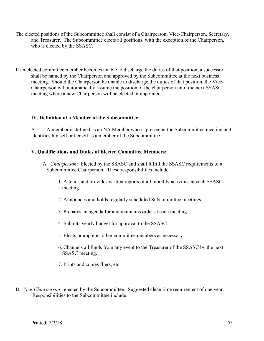- The elected positions of the Subcommittee shall consist of a Chairperson, Vice-Chairperson, Secretary, and Treasurer. The Subcommittee elects all positions, with the exception of the Chairperson, who is elected by the SSASC.
- If an elected committee member becomes unable to discharge the duties of that position, a successor shall be named by the Chairperson and approved by the Subcommittee at the next business meeting. Should the Chairperson be unable to discharge the duties of that position, the Vice-Chairperson will automatically assume the position of the chairperson until the next SSASC meeting where a new Chairperson will be elected or appointed.

#### **IV. Definition of a Member of the Subcommittee**

A. A member is defined as an NA Member who is present at the Subcommittee meeting and identifies himself or herself as a member of the Subcommittee.

#### **V. Qualifications and Duties of Elected Committee Members:**

- A. *Chairperson*: Elected by the SSASC and shall fulfill the SSASC requirements of a Subcommittee Chairperson. These responsibilities include:
	- 1. Attends and provides written reports of all monthly activities at each SSASC meeting.
	- 2. Announces and holds regularly scheduled Subcommittee meetings.
	- 3. Prepares an agenda for and maintains order at each meeting.
	- 4. Submits yearly budget for approval to the SSASC.
	- 5. Elects or appoints other committee members as necessary.
	- 6. Channels all funds from any event to the Treasurer of the SSASC by the next SSASC meeting.
	- 7. Prints and copies fliers, etc.
- B. *Vice-Chairperson*: elected by the Subcommittee. Suggested clean time requirement of one year. Responsibilities to the Subcommittee include: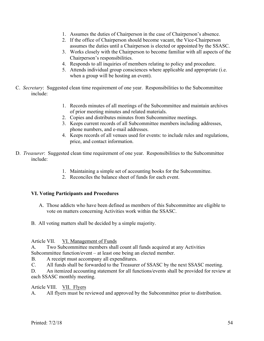- 1. Assumes the duties of Chairperson in the case of Chairperson's absence.
- 2. If the office of Chairperson should become vacant, the Vice-Chairperson assumes the duties until a Chairperson is elected or appointed by the SSASC.
- 3. Works closely with the Chairperson to become familiar with all aspects of the Chairperson's responsibilities.
- 4. Responds to all inquiries of members relating to policy and procedure.
- 5. Attends individual group consciences where applicable and appropriate (i.e. when a group will be hosting an event).
- C. *Secretary*: Suggested clean time requirement of one year. Responsibilities to the Subcommittee include:
	- 1. Records minutes of all meetings of the Subcommittee and maintain archives of prior meeting minutes and related materials.
	- 2. Copies and distributes minutes from Subcommittee meetings.
	- 3. Keeps current records of all Subcommittee members including addresses, phone numbers, and e-mail addresses.
	- 4. Keeps records of all venues used for events: to include rules and regulations, price, and contact information.
- D. *Treasurer*: Suggested clean time requirement of one year. Responsibilities to the Subcommittee include:
	- 1. Maintaining a simple set of accounting books for the Subcommittee.
	- 2. Reconciles the balance sheet of funds for each event.

## **VI. Voting Participants and Procedures**

- A. Those addicts who have been defined as members of this Subcommittee are eligible to vote on matters concerning Activities work within the SSASC.
- B. All voting matters shall be decided by a simple majority.

#### Article VII. VI. Management of Funds

A. Two Subcommittee members shall count all funds acquired at any Activities Subcommittee function/event – at least one being an elected member.

- B. A receipt must accompany all expenditures.
- C. All funds shall be forwarded to the Treasurer of SSASC by the next SSASC meeting.

D. An itemized accounting statement for all functions/events shall be provided for review at each SSASC monthly meeting.

## Article VIII. VII. Flyers

A. All flyers must be reviewed and approved by the Subcommittee prior to distribution.